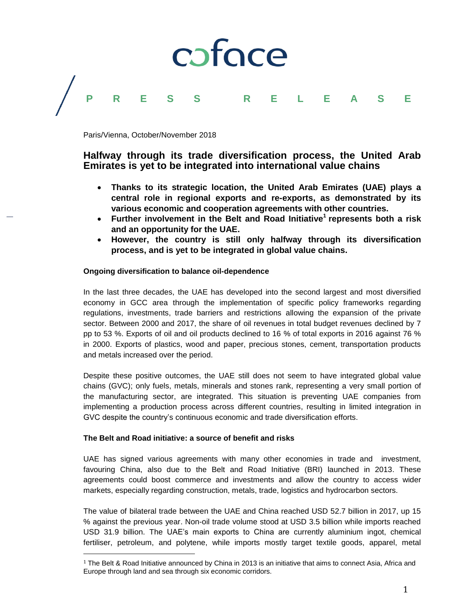# coface **PRESS RELEASE**

Paris/Vienna, October/November 2018

# **Halfway through its trade diversification process, the United Arab Emirates is yet to be integrated into international value chains**

- **Thanks to its strategic location, the United Arab Emirates (UAE) plays a central role in regional exports and re-exports, as demonstrated by its various economic and cooperation agreements with other countries.**
- **Further involvement in the Belt and Road Initiative<sup>1</sup> represents both a risk and an opportunity for the UAE.**
- **However, the country is still only halfway through its diversification process, and is yet to be integrated in global value chains.**

# **Ongoing diversification to balance oil-dependence**

In the last three decades, the UAE has developed into the second largest and most diversified economy in GCC area through the implementation of specific policy frameworks regarding regulations, investments, trade barriers and restrictions allowing the expansion of the private sector. Between 2000 and 2017, the share of oil revenues in total budget revenues declined by 7 pp to 53 %. Exports of oil and oil products declined to 16 % of total exports in 2016 against 76 % in 2000. Exports of plastics, wood and paper, precious stones, cement, transportation products and metals increased over the period.

Despite these positive outcomes, the UAE still does not seem to have integrated global value chains (GVC); only fuels, metals, minerals and stones rank, representing a very small portion of the manufacturing sector, are integrated. This situation is preventing UAE companies from implementing a production process across different countries, resulting in limited integration in GVC despite the country's continuous economic and trade diversification efforts.

# **The Belt and Road initiative: a source of benefit and risks**

 $\overline{a}$ 

UAE has signed various agreements with many other economies in trade and investment, favouring China, also due to the Belt and Road Initiative (BRI) launched in 2013. These agreements could boost commerce and investments and allow the country to access wider markets, especially regarding construction, metals, trade, logistics and hydrocarbon sectors.

The value of bilateral trade between the UAE and China reached USD 52.7 billion in 2017, up 15 % against the previous year. Non-oil trade volume stood at USD 3.5 billion while imports reached USD 31.9 billion. The UAE's main exports to China are currently aluminium ingot, chemical fertiliser, petroleum, and polytene, while imports mostly target textile goods, apparel, metal

 $1$  The Belt & Road Initiative announced by China in 2013 is an initiative that aims to connect Asia. Africa and Europe through land and sea through six economic corridors.